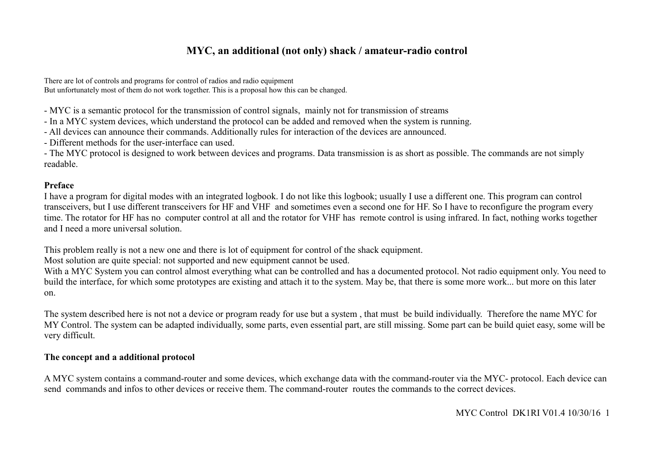# **MYC, an additional (not only) shack / amateur-radio control**

There are lot of controls and programs for control of radios and radio equipment But unfortunately most of them do not work together. This is a proposal how this can be changed.

- MYC is a semantic protocol for the transmission of control signals, mainly not for transmission of streams
- In a MYC system devices, which understand the protocol can be added and removed when the system is running.
- All devices can announce their commands. Additionally rules for interaction of the devices are announced.
- Different methods for the user-interface can used.

- The MYC protocol is designed to work between devices and programs. Data transmission is as short as possible. The commands are not simply readable.

#### **Preface**

I have a program for digital modes with an integrated logbook. I do not like this logbook; usually I use a different one. This program can control transceivers, but I use different transceivers for HF and VHF and sometimes even a second one for HF. So I have to reconfigure the program every time. The rotator for HF has no computer control at all and the rotator for VHF has remote control is using infrared. In fact, nothing works together and I need a more universal solution.

This problem really is not a new one and there is lot of equipment for control of the shack equipment.

Most solution are quite special: not supported and new equipment cannot be used.

With a MYC System you can control almost everything what can be controlled and has a documented protocol. Not radio equipment only. You need to build the interface, for which some prototypes are existing and attach it to the system. May be, that there is some more work... but more on this later on.

The system described here is not not a device or program ready for use but a system , that must be build individually. Therefore the name MYC for MY Control. The system can be adapted individually, some parts, even essential part, are still missing. Some part can be build quiet easy, some will be very difficult.

#### **The concept and a additional protocol**

A MYC system contains a command-router and some devices, which exchange data with the command-router via the MYC- protocol. Each device can send commands and infos to other devices or receive them. The command-router routes the commands to the correct devices.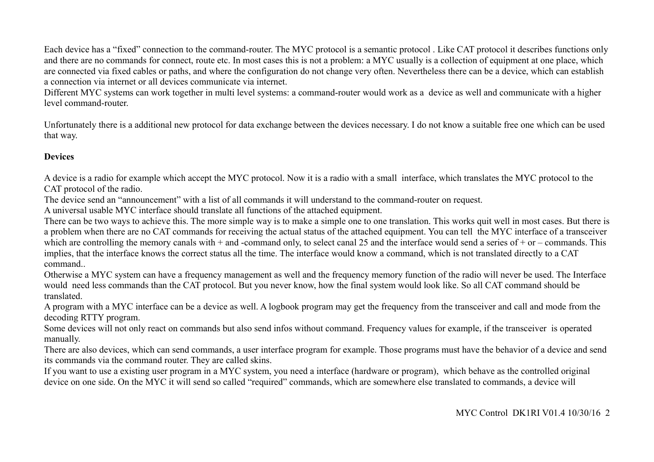Each device has a "fixed" connection to the command-router. The MYC protocol is a semantic protocol . Like CAT protocol it describes functions only and there are no commands for connect, route etc. In most cases this is not a problem: a MYC usually is a collection of equipment at one place, which are connected via fixed cables or paths, and where the configuration do not change very often. Nevertheless there can be a device, which can establish a connection via internet or all devices communicate via internet.

Different MYC systems can work together in multi level systems: a command-router would work as a device as well and communicate with a higher level command-router.

Unfortunately there is a additional new protocol for data exchange between the devices necessary. I do not know a suitable free one which can be used that way.

## **Devices**

A device is a radio for example which accept the MYC protocol. Now it is a radio with a small interface, which translates the MYC protocol to the CAT protocol of the radio.

The device send an "announcement" with a list of all commands it will understand to the command-router on request.

A universal usable MYC interface should translate all functions of the attached equipment.

There can be two ways to achieve this. The more simple way is to make a simple one to one translation. This works quit well in most cases. But there is a problem when there are no CAT commands for receiving the actual status of the attached equipment. You can tell the MYC interface of a transceiver which are controlling the memory canals with  $+$  and -command only, to select canal 25 and the interface would send a series of  $+$  or – commands. This implies, that the interface knows the correct status all the time. The interface would know a command, which is not translated directly to a CAT command..

Otherwise a MYC system can have a frequency management as well and the frequency memory function of the radio will never be used. The Interface would need less commands than the CAT protocol. But you never know, how the final system would look like. So all CAT command should be translated.

A program with a MYC interface can be a device as well. A logbook program may get the frequency from the transceiver and call and mode from the decoding RTTY program.

Some devices will not only react on commands but also send infos without command. Frequency values for example, if the transceiver is operated manually.

There are also devices, which can send commands, a user interface program for example. Those programs must have the behavior of a device and send its commands via the command router. They are called skins.

If you want to use a existing user program in a MYC system, you need a interface (hardware or program), which behave as the controlled original device on one side. On the MYC it will send so called "required" commands, which are somewhere else translated to commands, a device will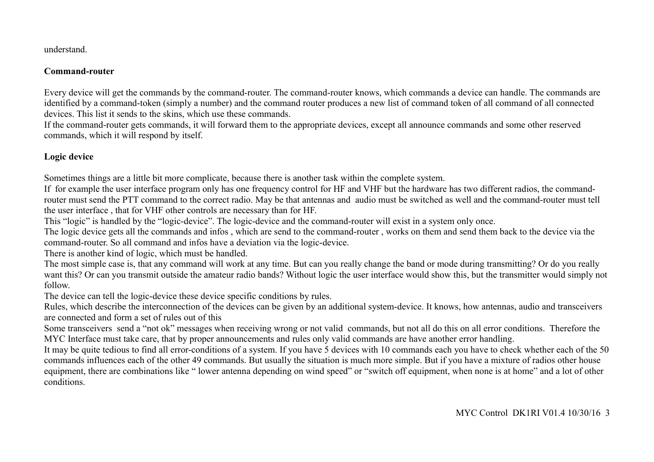understand.

#### **Command-router**

Every device will get the commands by the command-router. The command-router knows, which commands a device can handle. The commands are identified by a command-token (simply a number) and the command router produces a new list of command token of all command of all connected devices. This list it sends to the skins, which use these commands.

If the command-router gets commands, it will forward them to the appropriate devices, except all announce commands and some other reserved commands, which it will respond by itself.

## **Logic device**

Sometimes things are a little bit more complicate, because there is another task within the complete system.

If for example the user interface program only has one frequency control for HF and VHF but the hardware has two different radios, the commandrouter must send the PTT command to the correct radio. May be that antennas and audio must be switched as well and the command-router must tell the user interface , that for VHF other controls are necessary than for HF.

This "logic" is handled by the "logic-device". The logic-device and the command-router will exist in a system only once.

The logic device gets all the commands and infos , which are send to the command-router , works on them and send them back to the device via the command-router. So all command and infos have a deviation via the logic-device.

There is another kind of logic, which must be handled.

The most simple case is, that any command will work at any time. But can you really change the band or mode during transmitting? Or do you really want this? Or can you transmit outside the amateur radio bands? Without logic the user interface would show this, but the transmitter would simply not follow.

The device can tell the logic-device these device specific conditions by rules.

Rules, which describe the interconnection of the devices can be given by an additional system-device. It knows, how antennas, audio and transceivers are connected and form a set of rules out of this

Some transceivers send a "not ok" messages when receiving wrong or not valid commands, but not all do this on all error conditions. Therefore the MYC Interface must take care, that by proper announcements and rules only valid commands are have another error handling.

It may be quite tedious to find all error-conditions of a system. If you have 5 devices with 10 commands each you have to check whether each of the 50 commands influences each of the other 49 commands. But usually the situation is much more simple. But if you have a mixture of radios other house equipment, there are combinations like " lower antenna depending on wind speed" or "switch off equipment, when none is at home" and a lot of other conditions.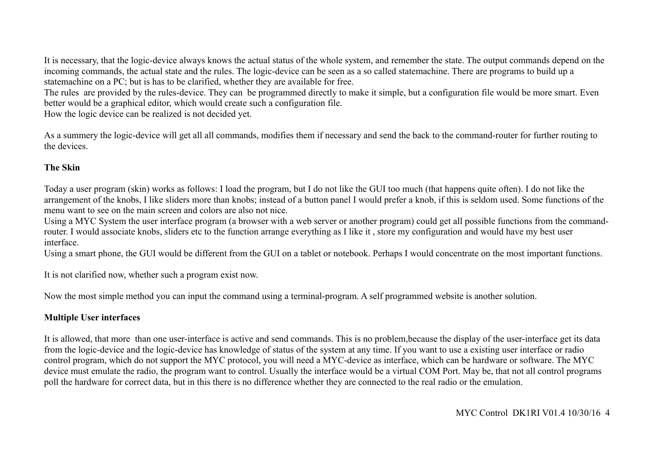It is necessary, that the logic-device always knows the actual status of the whole system, and remember the state. The output commands depend on the incoming commands, the actual state and the rules. The logic-device can be seen as a so called statemachine. There are programs to build up a statemachine on a PC; but is has to be clarified, whether they are available for free.

The rules are provided by the rules-device. They can be programmed directly to make it simple, but a configuration file would be more smart. Even better would be a graphical editor, which would create such a configuration file.

How the logic device can be realized is not decided yet.

As a summery the logic-device will get all all commands, modifies them if necessary and send the back to the command-router for further routing to the devices.

## **The Skin**

Today a user program (skin) works as follows: I load the program, but I do not like the GUI too much (that happens quite often). I do not like the arrangement of the knobs, I like sliders more than knobs; instead of a button panel I would prefer a knob, if this is seldom used. Some functions of the menu want to see on the main screen and colors are also not nice.

Using a MYC System the user interface program (a browser with a web server or another program) could get all possible functions from the commandrouter. I would associate knobs, sliders etc to the function arrange everything as I like it , store my configuration and would have my best user interface.

Using a smart phone, the GUI would be different from the GUI on a tablet or notebook. Perhaps I would concentrate on the most important functions.

It is not clarified now, whether such a program exist now.

Now the most simple method you can input the command using a terminal-program. A self programmed website is another solution.

## **Multiple User interfaces**

It is allowed, that more than one user-interface is active and send commands. This is no problem,because the display of the user-interface get its data from the logic-device and the logic-device has knowledge of status of the system at any time. If you want to use a existing user interface or radio control program, which do not support the MYC protocol, you will need a MYC-device as interface, which can be hardware or software. The MYC device must emulate the radio, the program want to control. Usually the interface would be a virtual COM Port. May be, that not all control programs poll the hardware for correct data, but in this there is no difference whether they are connected to the real radio or the emulation.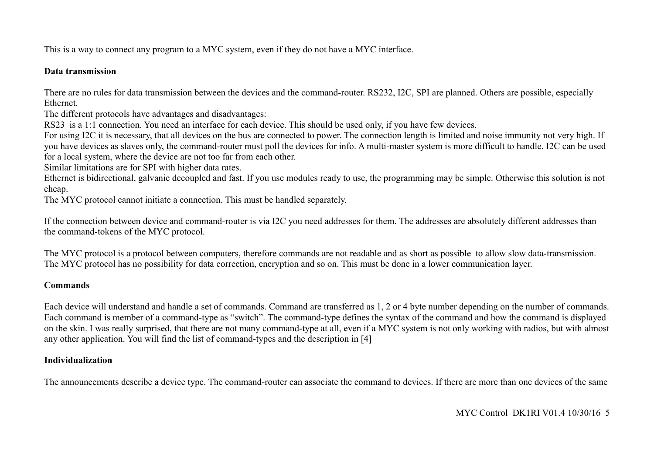This is a way to connect any program to a MYC system, even if they do not have a MYC interface.

#### **Data transmission**

There are no rules for data transmission between the devices and the command-router. RS232, I2C, SPI are planned. Others are possible, especially Ethernet.

The different protocols have advantages and disadvantages:

RS23 is a 1:1 connection. You need an interface for each device. This should be used only, if you have few devices.

For using I2C it is necessary, that all devices on the bus are connected to power. The connection length is limited and noise immunity not very high. If you have devices as slaves only, the command-router must poll the devices for info. A multi-master system is more difficult to handle. I2C can be used for a local system, where the device are not too far from each other.

Similar limitations are for SPI with higher data rates.

Ethernet is bidirectional, galvanic decoupled and fast. If you use modules ready to use, the programming may be simple. Otherwise this solution is not cheap.

The MYC protocol cannot initiate a connection. This must be handled separately.

If the connection between device and command-router is via I2C you need addresses for them. The addresses are absolutely different addresses than the command-tokens of the MYC protocol.

The MYC protocol is a protocol between computers, therefore commands are not readable and as short as possible to allow slow data-transmission. The MYC protocol has no possibility for data correction, encryption and so on. This must be done in a lower communication layer.

## **Commands**

Each device will understand and handle a set of commands. Command are transferred as 1, 2 or 4 byte number depending on the number of commands. Each command is member of a command-type as "switch". The command-type defines the syntax of the command and how the command is displayed on the skin. I was really surprised, that there are not many command-type at all, even if a MYC system is not only working with radios, but with almost any other application. You will find the list of command-types and the description in [4]

## **Individualization**

The announcements describe a device type. The command-router can associate the command to devices. If there are more than one devices of the same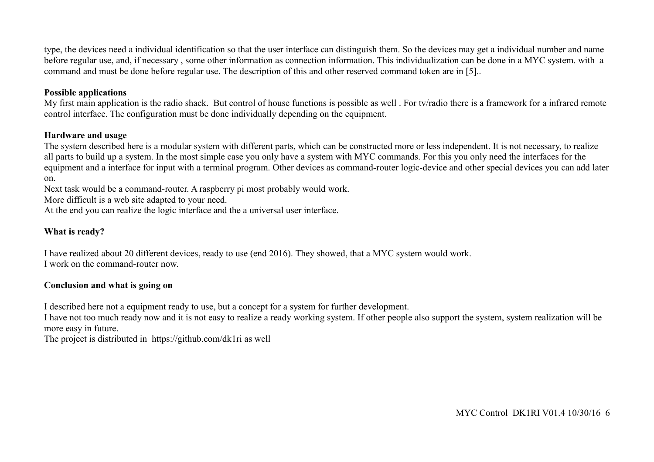type, the devices need a individual identification so that the user interface can distinguish them. So the devices may get a individual number and name before regular use, and, if necessary , some other information as connection information. This individualization can be done in a MYC system. with a command and must be done before regular use. The description of this and other reserved command token are in [5]..

#### **Possible applications**

My first main application is the radio shack. But control of house functions is possible as well . For tv/radio there is a framework for a infrared remote control interface. The configuration must be done individually depending on the equipment.

#### **Hardware and usage**

The system described here is a modular system with different parts, which can be constructed more or less independent. It is not necessary, to realize all parts to build up a system. In the most simple case you only have a system with MYC commands. For this you only need the interfaces for the equipment and a interface for input with a terminal program. Other devices as command-router logic-device and other special devices you can add later on.

Next task would be a command-router. A raspberry pi most probably would work.

More difficult is a web site adapted to your need.

At the end you can realize the logic interface and the a universal user interface.

### **What is ready?**

I have realized about 20 different devices, ready to use (end 2016). They showed, that a MYC system would work. I work on the command-router now.

### **Conclusion and what is going on**

I described here not a equipment ready to use, but a concept for a system for further development.

I have not too much ready now and it is not easy to realize a ready working system. If other people also support the system, system realization will be more easy in future.

The project is distributed in https://github.com/dk1ri as well